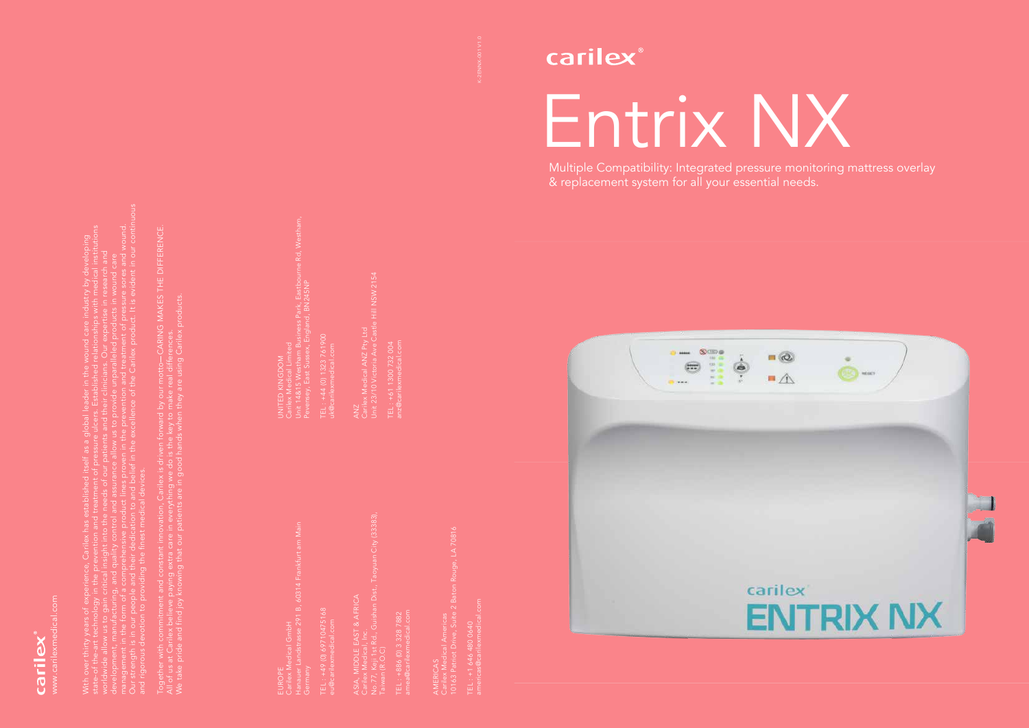K-2ENNX-001 V1.0



Multiple Compatibility: Integrated pressure monitoring mattress overlay & replacement system for all your essential needs.



carilex®



With over thirty years of experience, Carilex has established itself as a global leader in the wound care industry by developing state-of the-art technology in the prevention and treatment of pressure ulcers. Established relationships with medical institutions worldwide allow us to gain critical insight into the needs of our patients and their clinicians. Our expertise in research and development, manufacturing, and quality control and assurance allow us to provide unparalleled products in wound care management in the form of a comprehensive product lines proven in the prevention and treatment of pressure sores and wound. Our strength is in our people and their dedication to and belief in the excellence of the Carilex product. It is evident in our continuous

and rigorous devotion to providing the finest medical devices.

Together with commitment and constant innovation, Carilex is driven forward by our motto CARING MAKES THE DIFFERENCE. motto—CARING MAKES THE DIFFERENCE<br>aal differences. We take pride and find joy knowing that our patients are in good hands when they are using Carilex products. Carilex products All of us at Carilex believe paying extra care in everything we do is the key to make real differences.

EUROPE Carilex Medical GmbH Hanauer Landstrasse 291 B, 60314 Frankfurt am Main Germany

TEL : +49 (0) 69710475168 eu@carilexmedical.com ASIA, MIDDLE EAST & AFRICA Carilex Medical, Inc. No.77, Keji 1st Rd., Guishan Dist., Taoyuan City (33383), Taiwan (R.O.C)

TEL : +886 (0) 3 328 7882 amea@carilexmedical.com

ANZ Carilex Medical ANZ Pty Ltd Unit 23/10 Victoria Ave Castle Hill NSW 2154

TEL : +61 1300 732 004 anz@carilexmedical.com

> AMERICAS Carilex Medical Americas 10163 Patriot Drive, Suite 2 Baton Rouge, LA 70816

americas@carilexmedical.com EL : +1 646 480 0640<br>mericas@carilexmedical.co TEL : +1 646 480 0640

Unit 14&15 Westham Business Park, Eastbourne Rd, Westham, irk, Eastbourne Rd, Westham<br>RN245NP Pevensey, East Sussex, England, BN245NP Carilex Medical Limited UNITED KINGDOM

TEL : +44 (0) 1323 761900 uk@carilexmedical.com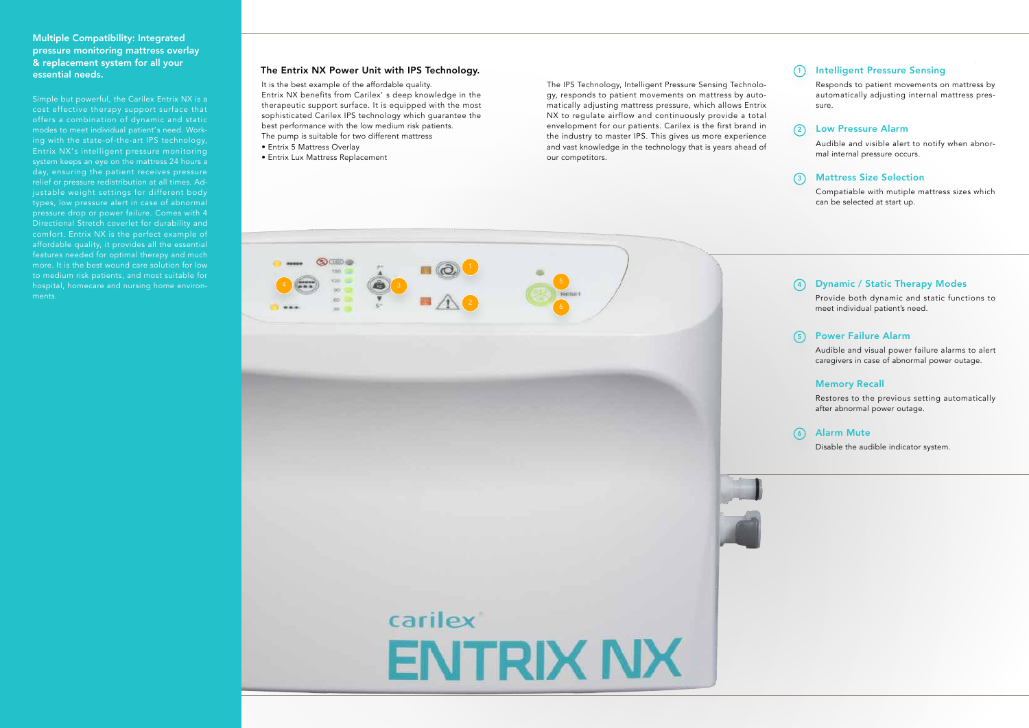## The Entrix NX Power Unit with IPS Technology.

It is the best example of the affordable quality. Entrix NX benefits from Carilex' s deep knowledge in the therapeutic support surface. It is equipped with the most sophisticated Carilex IPS technology which guarantee the best performance with the low medium risk patients. The pump is suitable for two different mattress

- Entrix 5 Mattress Overlay
- Entrix Lux Mattress Replacement

Provide both dynamic and static functions to meet individual patient's need.

Audible and visual power failure alarms to alert caregivers in case of abnormal power outage.

#### Memory Recall

Restores to the previous setting automatically after abnormal power outage.



Disable the audible indicator system.

Responds to patient movements on mattress by automatically adjusting internal mattress pressure.

## 2) Low Pressure Alarm

Audible and visible alert to notify when abnormal internal pressure occurs.

Compatiable with mutiple mattress sizes which can be selected at start up.



# 1) Intelligent Pressure Sensing

## Multiple Compatibility: Integrated pressure monitoring mattress overlay & replacement system for all your essential needs.

# Dynamic / Static Therapy Modes 4

## Power Failure Alarm 5

#### Alarm Mute 6

## Mattress Size Selection 3

Simple but powerful, the Carilex Entrix NX is a cost effective therapy support surface that offers a combination of dynamic and static modes to meet individual patient's need. Working with the state-of-the-art IPS technology, Entrix NX's intelligent pressure monitoring system keeps an eye on the mattress 24 hours a day, ensuring the patient receives pressure relief or pressure redistribution at all times. Adjustable weight settings for different body types, low pressure alert in case of abnormal pressure drop or power failure. Comes with 4 Directional Stretch coverlet for durability and comfort. Entrix NX is the perfect example of affordable quality, it provides all the essential features needed for optimal therapy and much to medium risk patients, and most suitable for hospital, homecare and nursing home environments.

The IPS Technology, Intelligent Pressure Sensing Technology, responds to patient movements on mattress by automatically adjusting mattress pressure, which allows Entrix NX to regulate airflow and continuously provide a total envelopment for our patients. Carilex is the first brand in the industry to master IPS. This gives us more experience and vast knowledge in the technology that is years ahead of our competitors.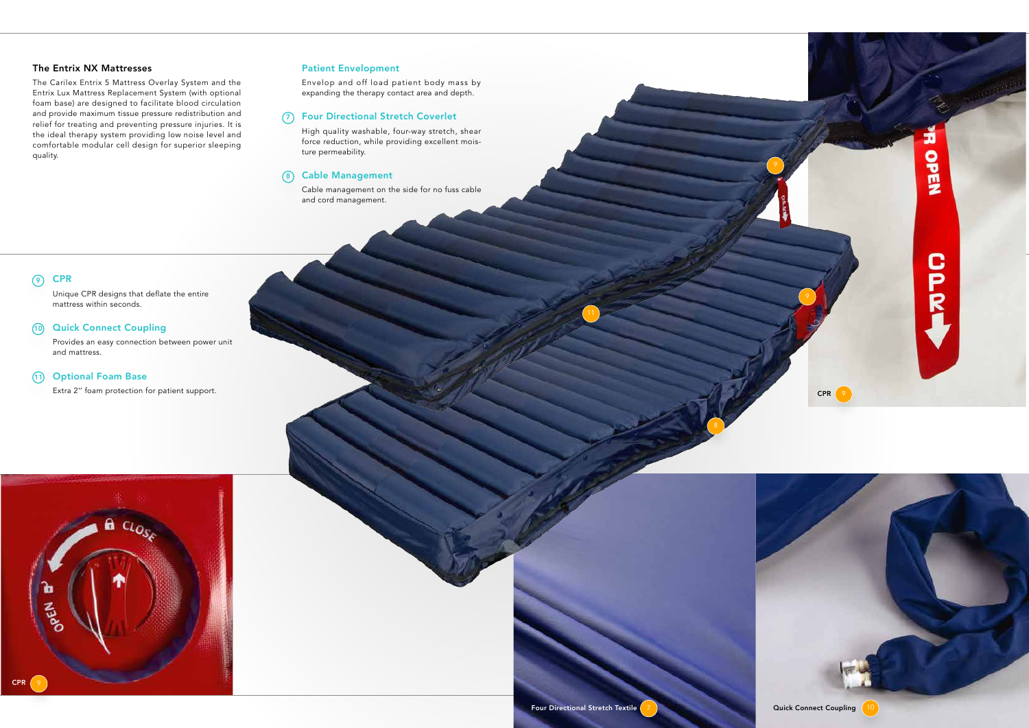## The Entrix NX Mattresses

The Carilex Entrix 5 Mattress Overlay System and the Entrix Lux Mattress Replacement System (with optional foam base) are designed to facilitate blood circulation and provide maximum tissue pressure redistribution and relief for treating and preventing pressure injuries. It is the ideal therapy system providing low noise level and comfortable modular cell design for superior sleeping quality.

#### Quick Connect Coupling  $(10)$

#### Patient Envelopment

Envelop and off load patient body mass by expanding the therapy contact area and depth.

#### 7) Four Directional Stretch Coverlet

High quality washable, four-way stretch, shear force reduction, while providing excellent moisture permeability.

#### 8) Cable Management

Cable management on the side for no fuss cable and cord management.

#### **CPR**  $\odot$

Unique CPR designs that deflate the entire mattress within seconds.

Provides an easy connection between power unit and mattress.

#### Optional Foam Base 11

Extra 2" foam protection for patient support.